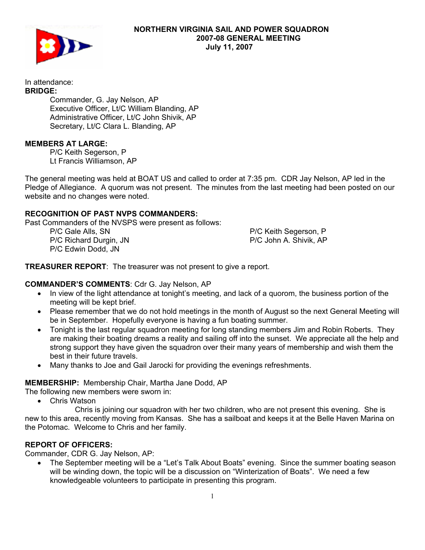

In attendance: **BRIDGE:** 

 Commander, G. Jay Nelson, AP Executive Officer, Lt/C William Blanding, AP Administrative Officer, Lt/C John Shivik, AP Secretary, Lt/C Clara L. Blanding, AP

## **MEMBERS AT LARGE:**

P/C Keith Segerson, P Lt Francis Williamson, AP

The general meeting was held at BOAT US and called to order at 7:35 pm. CDR Jay Nelson, AP led in the Pledge of Allegiance. A quorum was not present. The minutes from the last meeting had been posted on our website and no changes were noted.

## **RECOGNITION OF PAST NVPS COMMANDERS:**

Past Commanders of the NVSPS were present as follows:

 P/C Gale Alls, SN P/C Richard Durgin, JN P/C Edwin Dodd, JN

 P/C Keith Segerson, P P/C John A. Shivik, AP

**TREASURER REPORT**: The treasurer was not present to give a report.

## **COMMANDER'S COMMENTS**: Cdr G. Jay Nelson, AP

- In view of the light attendance at tonight's meeting, and lack of a quorom, the business portion of the meeting will be kept brief.
- Please remember that we do not hold meetings in the month of August so the next General Meeting will be in September. Hopefully everyone is having a fun boating summer.
- Tonight is the last regular squadron meeting for long standing members Jim and Robin Roberts. They are making their boating dreams a reality and sailing off into the sunset. We appreciate all the help and strong support they have given the squadron over their many years of membership and wish them the best in their future travels.
- Many thanks to Joe and Gail Jarocki for providing the evenings refreshments.

#### **MEMBERSHIP:** Membership Chair, Martha Jane Dodd, AP

The following new members were sworn in:

• Chris Watson

 Chris is joining our squadron with her two children, who are not present this evening. She is new to this area, recently moving from Kansas. She has a sailboat and keeps it at the Belle Haven Marina on the Potomac. Welcome to Chris and her family.

## **REPORT OF OFFICERS:**

Commander, CDR G. Jay Nelson, AP:

• The September meeting will be a "Let's Talk About Boats" evening. Since the summer boating season will be winding down, the topic will be a discussion on "Winterization of Boats". We need a few knowledgeable volunteers to participate in presenting this program.